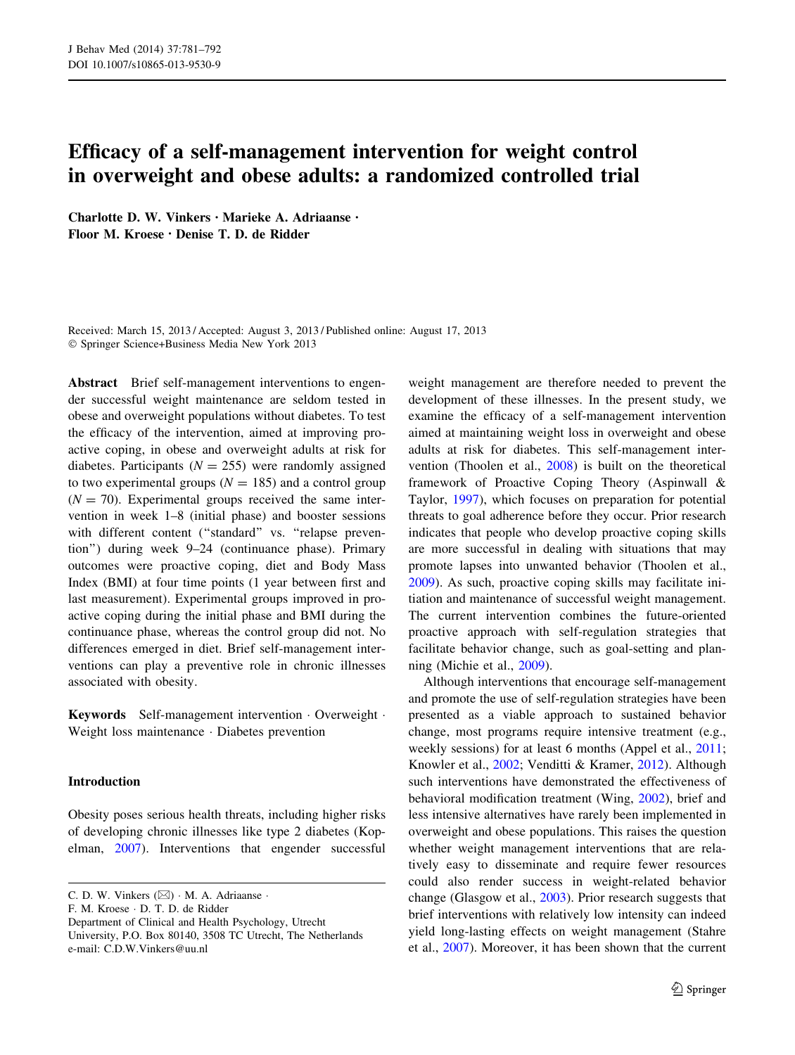# Efficacy of a self-management intervention for weight control in overweight and obese adults: a randomized controlled trial

Charlotte D. W. Vinkers • Marieke A. Adriaanse • Floor M. Kroese • Denise T. D. de Ridder

Received: March 15, 2013 / Accepted: August 3, 2013 / Published online: August 17, 2013 - Springer Science+Business Media New York 2013

Abstract Brief self-management interventions to engender successful weight maintenance are seldom tested in obese and overweight populations without diabetes. To test the efficacy of the intervention, aimed at improving proactive coping, in obese and overweight adults at risk for diabetes. Participants ( $N = 255$ ) were randomly assigned to two experimental groups ( $N = 185$ ) and a control group  $(N = 70)$ . Experimental groups received the same intervention in week 1–8 (initial phase) and booster sessions with different content ("standard" vs. "relapse prevention'') during week 9–24 (continuance phase). Primary outcomes were proactive coping, diet and Body Mass Index (BMI) at four time points (1 year between first and last measurement). Experimental groups improved in proactive coping during the initial phase and BMI during the continuance phase, whereas the control group did not. No differences emerged in diet. Brief self-management interventions can play a preventive role in chronic illnesses associated with obesity.

Keywords Self-management intervention - Overweight - Weight loss maintenance - Diabetes prevention

## Introduction

Obesity poses serious health threats, including higher risks of developing chronic illnesses like type 2 diabetes (Kopelman, [2007\)](#page-10-0). Interventions that engender successful

F. M. Kroese - D. T. D. de Ridder

weight management are therefore needed to prevent the development of these illnesses. In the present study, we examine the efficacy of a self-management intervention aimed at maintaining weight loss in overweight and obese adults at risk for diabetes. This self-management intervention (Thoolen et al., [2008\)](#page-11-0) is built on the theoretical framework of Proactive Coping Theory (Aspinwall & Taylor, [1997](#page-10-0)), which focuses on preparation for potential threats to goal adherence before they occur. Prior research indicates that people who develop proactive coping skills are more successful in dealing with situations that may promote lapses into unwanted behavior (Thoolen et al., [2009](#page-10-0)). As such, proactive coping skills may facilitate initiation and maintenance of successful weight management. The current intervention combines the future-oriented proactive approach with self-regulation strategies that facilitate behavior change, such as goal-setting and planning (Michie et al., [2009](#page-10-0)).

Although interventions that encourage self-management and promote the use of self-regulation strategies have been presented as a viable approach to sustained behavior change, most programs require intensive treatment (e.g., weekly sessions) for at least 6 months (Appel et al., [2011](#page-10-0); Knowler et al., [2002](#page-10-0); Venditti & Kramer, [2012\)](#page-11-0). Although such interventions have demonstrated the effectiveness of behavioral modification treatment (Wing, [2002](#page-11-0)), brief and less intensive alternatives have rarely been implemented in overweight and obese populations. This raises the question whether weight management interventions that are relatively easy to disseminate and require fewer resources could also render success in weight-related behavior change (Glasgow et al., [2003\)](#page-10-0). Prior research suggests that brief interventions with relatively low intensity can indeed yield long-lasting effects on weight management (Stahre et al., [2007\)](#page-10-0). Moreover, it has been shown that the current

C. D. W. Vinkers  $(\boxtimes) \cdot M$ . A. Adriaanse  $\cdot$ 

Department of Clinical and Health Psychology, Utrecht University, P.O. Box 80140, 3508 TC Utrecht, The Netherlands e-mail: C.D.W.Vinkers@uu.nl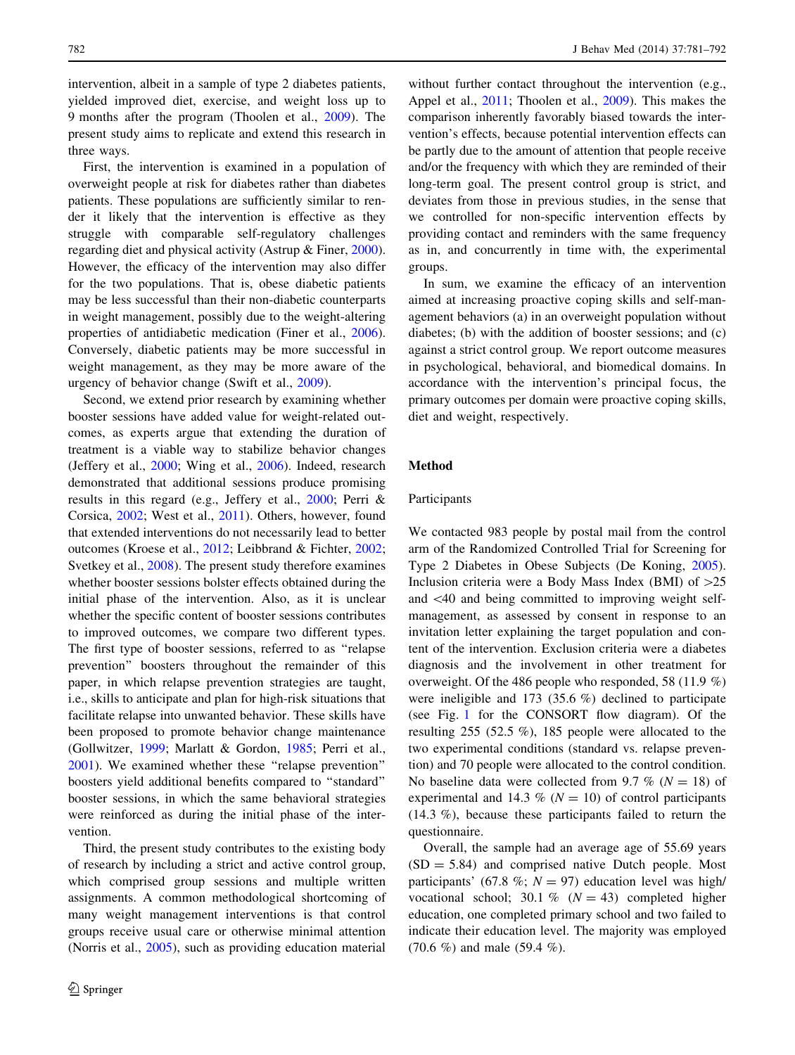intervention, albeit in a sample of type 2 diabetes patients, yielded improved diet, exercise, and weight loss up to 9 months after the program (Thoolen et al., [2009\)](#page-10-0). The present study aims to replicate and extend this research in three ways.

First, the intervention is examined in a population of overweight people at risk for diabetes rather than diabetes patients. These populations are sufficiently similar to render it likely that the intervention is effective as they struggle with comparable self-regulatory challenges regarding diet and physical activity (Astrup & Finer, [2000](#page-10-0)). However, the efficacy of the intervention may also differ for the two populations. That is, obese diabetic patients may be less successful than their non-diabetic counterparts in weight management, possibly due to the weight-altering properties of antidiabetic medication (Finer et al., [2006](#page-10-0)). Conversely, diabetic patients may be more successful in weight management, as they may be more aware of the urgency of behavior change (Swift et al., [2009\)](#page-10-0).

Second, we extend prior research by examining whether booster sessions have added value for weight-related outcomes, as experts argue that extending the duration of treatment is a viable way to stabilize behavior changes (Jeffery et al., [2000;](#page-10-0) Wing et al., [2006\)](#page-11-0). Indeed, research demonstrated that additional sessions produce promising results in this regard (e.g., Jeffery et al., [2000;](#page-10-0) Perri & Corsica, [2002](#page-10-0); West et al., [2011\)](#page-11-0). Others, however, found that extended interventions do not necessarily lead to better outcomes (Kroese et al., [2012](#page-10-0); Leibbrand & Fichter, [2002](#page-10-0); Svetkey et al., [2008](#page-10-0)). The present study therefore examines whether booster sessions bolster effects obtained during the initial phase of the intervention. Also, as it is unclear whether the specific content of booster sessions contributes to improved outcomes, we compare two different types. The first type of booster sessions, referred to as ''relapse prevention'' boosters throughout the remainder of this paper, in which relapse prevention strategies are taught, i.e., skills to anticipate and plan for high-risk situations that facilitate relapse into unwanted behavior. These skills have been proposed to promote behavior change maintenance (Gollwitzer, [1999;](#page-10-0) Marlatt & Gordon, [1985](#page-10-0); Perri et al., [2001\)](#page-10-0). We examined whether these ''relapse prevention'' boosters yield additional benefits compared to ''standard'' booster sessions, in which the same behavioral strategies were reinforced as during the initial phase of the intervention.

Third, the present study contributes to the existing body of research by including a strict and active control group, which comprised group sessions and multiple written assignments. A common methodological shortcoming of many weight management interventions is that control groups receive usual care or otherwise minimal attention (Norris et al., [2005](#page-10-0)), such as providing education material

without further contact throughout the intervention (e.g., Appel et al., [2011](#page-10-0); Thoolen et al., [2009\)](#page-10-0). This makes the comparison inherently favorably biased towards the intervention's effects, because potential intervention effects can be partly due to the amount of attention that people receive and/or the frequency with which they are reminded of their long-term goal. The present control group is strict, and deviates from those in previous studies, in the sense that we controlled for non-specific intervention effects by providing contact and reminders with the same frequency as in, and concurrently in time with, the experimental groups.

In sum, we examine the efficacy of an intervention aimed at increasing proactive coping skills and self-management behaviors (a) in an overweight population without diabetes; (b) with the addition of booster sessions; and (c) against a strict control group. We report outcome measures in psychological, behavioral, and biomedical domains. In accordance with the intervention's principal focus, the primary outcomes per domain were proactive coping skills, diet and weight, respectively.

## Method

#### Participants

We contacted 983 people by postal mail from the control arm of the Randomized Controlled Trial for Screening for Type 2 Diabetes in Obese Subjects (De Koning, [2005](#page-10-0)). Inclusion criteria were a Body Mass Index (BMI) of  $>25$ and  $\langle 40 \rangle$  and being committed to improving weight selfmanagement, as assessed by consent in response to an invitation letter explaining the target population and content of the intervention. Exclusion criteria were a diabetes diagnosis and the involvement in other treatment for overweight. Of the 486 people who responded, 58 (11.9 %) were ineligible and 173 (35.6 %) declined to participate (see Fig. [1](#page-2-0) for the CONSORT flow diagram). Of the resulting 255 (52.5 %), 185 people were allocated to the two experimental conditions (standard vs. relapse prevention) and 70 people were allocated to the control condition. No baseline data were collected from 9.7 % ( $N = 18$ ) of experimental and 14.3 % ( $N = 10$ ) of control participants (14.3 %), because these participants failed to return the questionnaire.

Overall, the sample had an average age of 55.69 years  $(SD = 5.84)$  and comprised native Dutch people. Most participants' (67.8 %;  $N = 97$ ) education level was high/ vocational school; 30.1 %  $(N = 43)$  completed higher education, one completed primary school and two failed to indicate their education level. The majority was employed (70.6 %) and male (59.4 %).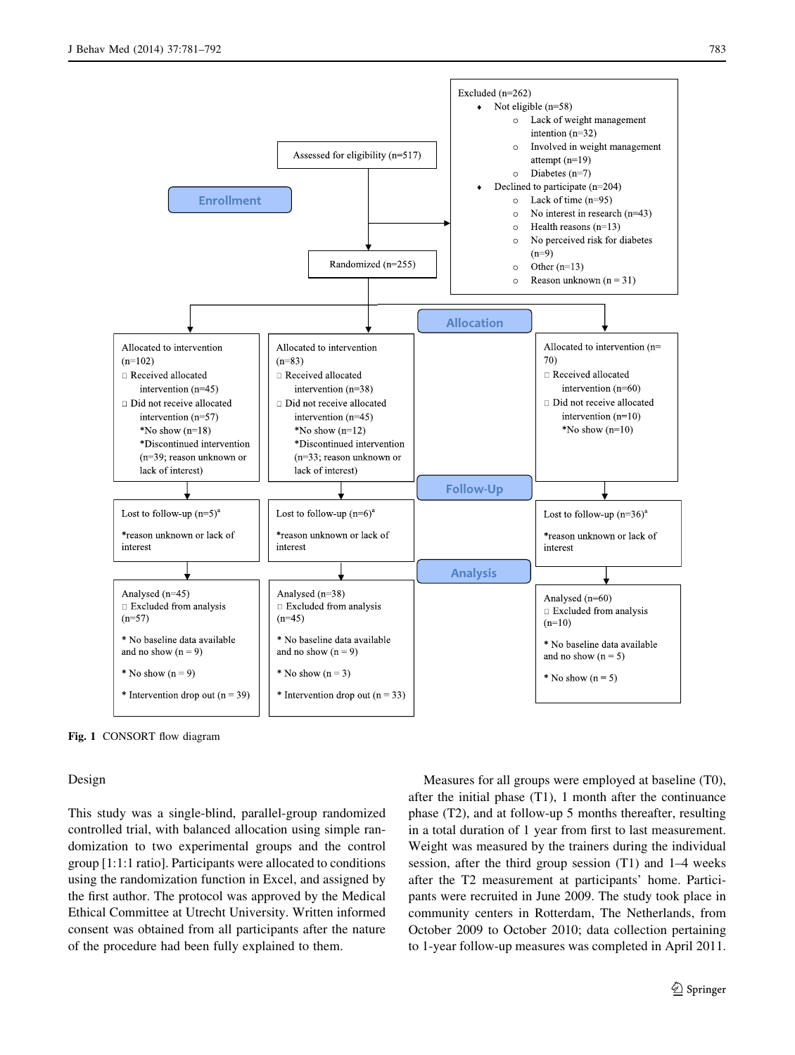<span id="page-2-0"></span>

Fig. 1 CONSORT flow diagram

#### Design

This study was a single-blind, parallel-group randomized controlled trial, with balanced allocation using simple randomization to two experimental groups and the control group [1:1:1 ratio]. Participants were allocated to conditions using the randomization function in Excel, and assigned by the first author. The protocol was approved by the Medical Ethical Committee at Utrecht University. Written informed consent was obtained from all participants after the nature of the procedure had been fully explained to them.

Measures for all groups were employed at baseline (T0), after the initial phase (T1), 1 month after the continuance phase (T2), and at follow-up 5 months thereafter, resulting in a total duration of 1 year from first to last measurement. Weight was measured by the trainers during the individual session, after the third group session (T1) and 1–4 weeks after the T2 measurement at participants' home. Participants were recruited in June 2009. The study took place in community centers in Rotterdam, The Netherlands, from October 2009 to October 2010; data collection pertaining to 1-year follow-up measures was completed in April 2011.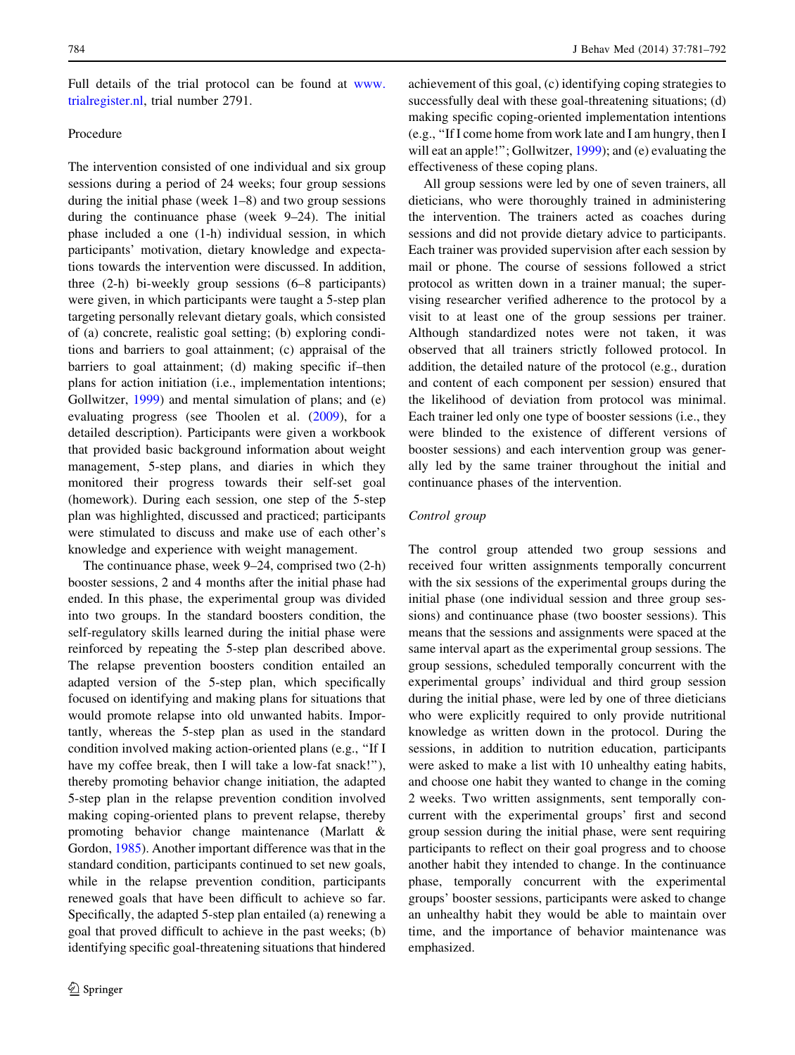Full details of the trial protocol can be found at [www.](http://www.trialregister.nl) [trialregister.nl,](http://www.trialregister.nl) trial number 2791.

## Procedure

The intervention consisted of one individual and six group sessions during a period of 24 weeks; four group sessions during the initial phase (week 1–8) and two group sessions during the continuance phase (week 9–24). The initial phase included a one (1-h) individual session, in which participants' motivation, dietary knowledge and expectations towards the intervention were discussed. In addition, three (2-h) bi-weekly group sessions (6–8 participants) were given, in which participants were taught a 5-step plan targeting personally relevant dietary goals, which consisted of (a) concrete, realistic goal setting; (b) exploring conditions and barriers to goal attainment; (c) appraisal of the barriers to goal attainment; (d) making specific if–then plans for action initiation (i.e., implementation intentions; Gollwitzer, [1999\)](#page-10-0) and mental simulation of plans; and (e) evaluating progress (see Thoolen et al. ([2009](#page-10-0)), for a detailed description). Participants were given a workbook that provided basic background information about weight management, 5-step plans, and diaries in which they monitored their progress towards their self-set goal (homework). During each session, one step of the 5-step plan was highlighted, discussed and practiced; participants were stimulated to discuss and make use of each other's knowledge and experience with weight management.

The continuance phase, week 9–24, comprised two (2-h) booster sessions, 2 and 4 months after the initial phase had ended. In this phase, the experimental group was divided into two groups. In the standard boosters condition, the self-regulatory skills learned during the initial phase were reinforced by repeating the 5-step plan described above. The relapse prevention boosters condition entailed an adapted version of the 5-step plan, which specifically focused on identifying and making plans for situations that would promote relapse into old unwanted habits. Importantly, whereas the 5-step plan as used in the standard condition involved making action-oriented plans (e.g., ''If I have my coffee break, then I will take a low-fat snack!"), thereby promoting behavior change initiation, the adapted 5-step plan in the relapse prevention condition involved making coping-oriented plans to prevent relapse, thereby promoting behavior change maintenance (Marlatt & Gordon, [1985](#page-10-0)). Another important difference was that in the standard condition, participants continued to set new goals, while in the relapse prevention condition, participants renewed goals that have been difficult to achieve so far. Specifically, the adapted 5-step plan entailed (a) renewing a goal that proved difficult to achieve in the past weeks; (b) identifying specific goal-threatening situations that hindered achievement of this goal, (c) identifying coping strategies to successfully deal with these goal-threatening situations; (d) making specific coping-oriented implementation intentions (e.g., ''If I come home from work late and I am hungry, then I will eat an apple!"; Gollwitzer, [1999\)](#page-10-0); and (e) evaluating the effectiveness of these coping plans.

All group sessions were led by one of seven trainers, all dieticians, who were thoroughly trained in administering the intervention. The trainers acted as coaches during sessions and did not provide dietary advice to participants. Each trainer was provided supervision after each session by mail or phone. The course of sessions followed a strict protocol as written down in a trainer manual; the supervising researcher verified adherence to the protocol by a visit to at least one of the group sessions per trainer. Although standardized notes were not taken, it was observed that all trainers strictly followed protocol. In addition, the detailed nature of the protocol (e.g., duration and content of each component per session) ensured that the likelihood of deviation from protocol was minimal. Each trainer led only one type of booster sessions (i.e., they were blinded to the existence of different versions of booster sessions) and each intervention group was generally led by the same trainer throughout the initial and continuance phases of the intervention.

#### Control group

The control group attended two group sessions and received four written assignments temporally concurrent with the six sessions of the experimental groups during the initial phase (one individual session and three group sessions) and continuance phase (two booster sessions). This means that the sessions and assignments were spaced at the same interval apart as the experimental group sessions. The group sessions, scheduled temporally concurrent with the experimental groups' individual and third group session during the initial phase, were led by one of three dieticians who were explicitly required to only provide nutritional knowledge as written down in the protocol. During the sessions, in addition to nutrition education, participants were asked to make a list with 10 unhealthy eating habits, and choose one habit they wanted to change in the coming 2 weeks. Two written assignments, sent temporally concurrent with the experimental groups' first and second group session during the initial phase, were sent requiring participants to reflect on their goal progress and to choose another habit they intended to change. In the continuance phase, temporally concurrent with the experimental groups' booster sessions, participants were asked to change an unhealthy habit they would be able to maintain over time, and the importance of behavior maintenance was emphasized.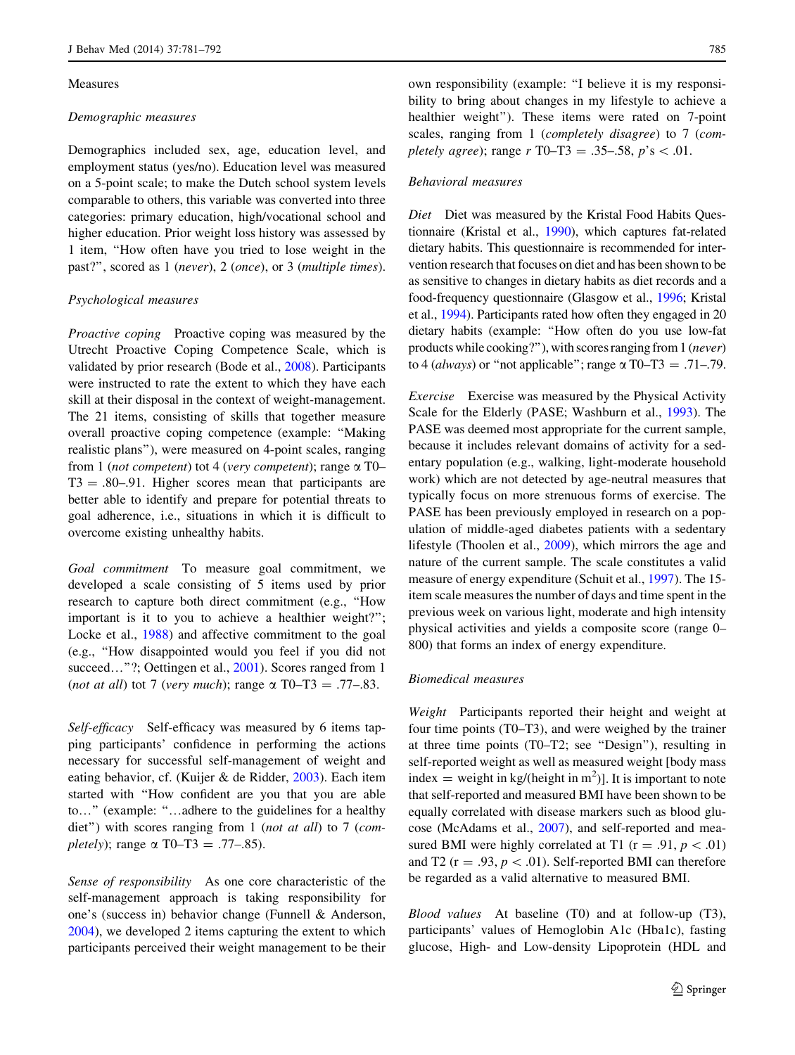#### Measures

#### Demographic measures

Demographics included sex, age, education level, and employment status (yes/no). Education level was measured on a 5-point scale; to make the Dutch school system levels comparable to others, this variable was converted into three categories: primary education, high/vocational school and higher education. Prior weight loss history was assessed by 1 item, ''How often have you tried to lose weight in the past?'', scored as 1 (never), 2 (once), or 3 (multiple times).

## Psychological measures

Proactive coping Proactive coping was measured by the Utrecht Proactive Coping Competence Scale, which is validated by prior research (Bode et al., [2008](#page-10-0)). Participants were instructed to rate the extent to which they have each skill at their disposal in the context of weight-management. The 21 items, consisting of skills that together measure overall proactive coping competence (example: ''Making realistic plans''), were measured on 4-point scales, ranging from 1 (not competent) tot 4 (very competent); range  $\alpha$  T0–  $T3 = .80-.91$ . Higher scores mean that participants are better able to identify and prepare for potential threats to goal adherence, i.e., situations in which it is difficult to overcome existing unhealthy habits.

Goal commitment To measure goal commitment, we developed a scale consisting of 5 items used by prior research to capture both direct commitment (e.g., ''How important is it to you to achieve a healthier weight?''; Locke et al., [1988](#page-10-0)) and affective commitment to the goal (e.g., ''How disappointed would you feel if you did not succeed..."?; Oettingen et al., [2001\)](#page-10-0). Scores ranged from 1 (not at all) tot 7 (very much); range  $\alpha$  T0–T3 = .77–.83.

Self-efficacy Self-efficacy was measured by 6 items tapping participants' confidence in performing the actions necessary for successful self-management of weight and eating behavior, cf. (Kuijer & de Ridder, [2003\)](#page-10-0). Each item started with ''How confident are you that you are able to…'' (example: ''…adhere to the guidelines for a healthy diet") with scores ranging from 1 (not at all) to 7 (com*pletely*); range  $\alpha$  T0–T3 = .77–.85).

Sense of responsibility As one core characteristic of the self-management approach is taking responsibility for one's (success in) behavior change (Funnell & Anderson, [2004\)](#page-10-0), we developed 2 items capturing the extent to which participants perceived their weight management to be their own responsibility (example: ''I believe it is my responsibility to bring about changes in my lifestyle to achieve a healthier weight''). These items were rated on 7-point scales, ranging from 1 (completely disagree) to 7 (completely agree); range  $r$  T0–T3 = .35–.58,  $p$ 's < .01.

#### Behavioral measures

Diet Diet was measured by the Kristal Food Habits Questionnaire (Kristal et al., [1990\)](#page-10-0), which captures fat-related dietary habits. This questionnaire is recommended for intervention research that focuses on diet and has been shown to be as sensitive to changes in dietary habits as diet records and a food-frequency questionnaire (Glasgow et al., [1996;](#page-10-0) Kristal et al., [1994\)](#page-10-0). Participants rated how often they engaged in 20 dietary habits (example: ''How often do you use low-fat products while cooking?''), with scores ranging from 1 (never) to 4 (*always*) or "not applicable"; range  $\alpha$  T0–T3 = .71–.79.

Exercise Exercise was measured by the Physical Activity Scale for the Elderly (PASE; Washburn et al., [1993](#page-11-0)). The PASE was deemed most appropriate for the current sample, because it includes relevant domains of activity for a sedentary population (e.g., walking, light-moderate household work) which are not detected by age-neutral measures that typically focus on more strenuous forms of exercise. The PASE has been previously employed in research on a population of middle-aged diabetes patients with a sedentary lifestyle (Thoolen et al., [2009\)](#page-10-0), which mirrors the age and nature of the current sample. The scale constitutes a valid measure of energy expenditure (Schuit et al., [1997](#page-10-0)). The 15 item scale measures the number of days and time spent in the previous week on various light, moderate and high intensity physical activities and yields a composite score (range 0– 800) that forms an index of energy expenditure.

## Biomedical measures

Weight Participants reported their height and weight at four time points (T0–T3), and were weighed by the trainer at three time points (T0–T2; see ''Design''), resulting in self-reported weight as well as measured weight [body mass index = weight in  $\text{kg/(height in m}^2)$ ]. It is important to note that self-reported and measured BMI have been shown to be equally correlated with disease markers such as blood glucose (McAdams et al., [2007](#page-10-0)), and self-reported and measured BMI were highly correlated at T1 ( $r = .91, p < .01$ ) and T2 ( $r = .93$ ,  $p < .01$ ). Self-reported BMI can therefore be regarded as a valid alternative to measured BMI.

Blood values At baseline (T0) and at follow-up (T3), participants' values of Hemoglobin A1c (Hba1c), fasting glucose, High- and Low-density Lipoprotein (HDL and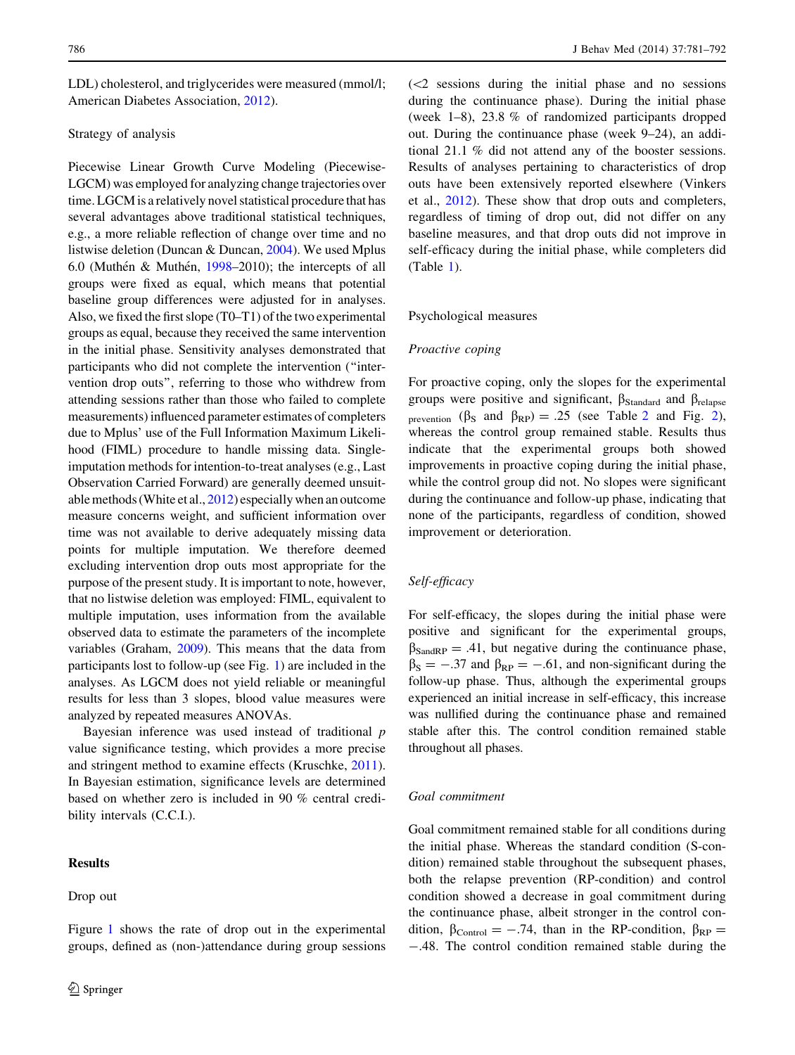LDL) cholesterol, and triglycerides were measured (mmol/l; American Diabetes Association, [2012\)](#page-10-0).

#### Strategy of analysis

Piecewise Linear Growth Curve Modeling (Piecewise-LGCM) was employed for analyzing change trajectories over time. LGCM is a relatively novel statistical procedure that has several advantages above traditional statistical techniques, e.g., a more reliable reflection of change over time and no listwise deletion (Duncan & Duncan, [2004](#page-10-0)). We used Mplus 6.0 (Muthén & Muthén, [1998–](#page-10-0)2010); the intercepts of all groups were fixed as equal, which means that potential baseline group differences were adjusted for in analyses. Also, we fixed the first slope (T0–T1) of the two experimental groups as equal, because they received the same intervention in the initial phase. Sensitivity analyses demonstrated that participants who did not complete the intervention (''intervention drop outs'', referring to those who withdrew from attending sessions rather than those who failed to complete measurements) influenced parameter estimates of completers due to Mplus' use of the Full Information Maximum Likelihood (FIML) procedure to handle missing data. Singleimputation methods for intention-to-treat analyses (e.g., Last Observation Carried Forward) are generally deemed unsuitable methods (White et al., [2012](#page-11-0)) especially when an outcome measure concerns weight, and sufficient information over time was not available to derive adequately missing data points for multiple imputation. We therefore deemed excluding intervention drop outs most appropriate for the purpose of the present study. It is important to note, however, that no listwise deletion was employed: FIML, equivalent to multiple imputation, uses information from the available observed data to estimate the parameters of the incomplete variables (Graham, [2009\)](#page-10-0). This means that the data from participants lost to follow-up (see Fig. [1](#page-2-0)) are included in the analyses. As LGCM does not yield reliable or meaningful results for less than 3 slopes, blood value measures were analyzed by repeated measures ANOVAs.

Bayesian inference was used instead of traditional p value significance testing, which provides a more precise and stringent method to examine effects (Kruschke, [2011](#page-10-0)). In Bayesian estimation, significance levels are determined based on whether zero is included in 90 % central credibility intervals (C.C.I.).

## Results

Drop out

 $\ll$  sessions during the initial phase and no sessions during the continuance phase). During the initial phase (week 1–8), 23.8 % of randomized participants dropped out. During the continuance phase (week 9–24), an additional 21.1 % did not attend any of the booster sessions. Results of analyses pertaining to characteristics of drop outs have been extensively reported elsewhere (Vinkers et al., [2012\)](#page-11-0). These show that drop outs and completers, regardless of timing of drop out, did not differ on any baseline measures, and that drop outs did not improve in self-efficacy during the initial phase, while completers did (Table [1\)](#page-6-0).

#### Psychological measures

## Proactive coping

For proactive coping, only the slopes for the experimental groups were positive and significant,  $\beta_{Standard}$  and  $\beta_{relapse}$ prevention ( $\beta_S$  and  $\beta_{RP}$ ) = .[2](#page-8-0)5 (see Table 2 and Fig. 2), whereas the control group remained stable. Results thus indicate that the experimental groups both showed improvements in proactive coping during the initial phase, while the control group did not. No slopes were significant during the continuance and follow-up phase, indicating that none of the participants, regardless of condition, showed improvement or deterioration.

#### Self-efficacy

For self-efficacy, the slopes during the initial phase were positive and significant for the experimental groups,  $\beta_{\text{SandRP}} = .41$ , but negative during the continuance phase,  $\beta_{\rm S} = -.37$  and  $\beta_{\rm RP} = -.61$ , and non-significant during the follow-up phase. Thus, although the experimental groups experienced an initial increase in self-efficacy, this increase was nullified during the continuance phase and remained stable after this. The control condition remained stable throughout all phases.

#### Goal commitment

Goal commitment remained stable for all conditions during the initial phase. Whereas the standard condition (S-condition) remained stable throughout the subsequent phases, both the relapse prevention (RP-condition) and control condition showed a decrease in goal commitment during the continuance phase, albeit stronger in the control condition,  $\beta_{\text{Control}} = -.74$ , than in the RP-condition,  $\beta_{\text{RP}} =$ -.48. The control condition remained stable during the

Figure [1](#page-2-0) shows the rate of drop out in the experimental groups, defined as (non-)attendance during group sessions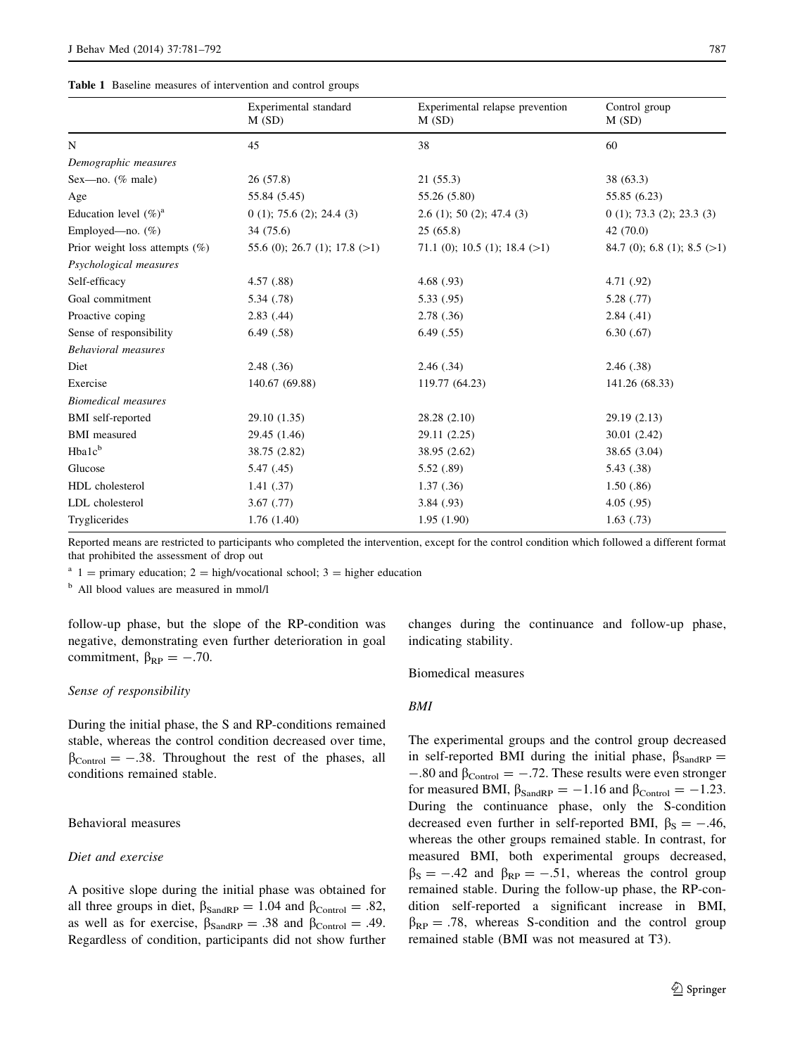<span id="page-6-0"></span>

|  |  |  |  | Table 1 Baseline measures of intervention and control groups |  |  |  |
|--|--|--|--|--------------------------------------------------------------|--|--|--|
|--|--|--|--|--------------------------------------------------------------|--|--|--|

|                                   | Experimental standard<br>M(SD)  | Experimental relapse prevention<br>M(SD) | Control group<br>M(SD)        |
|-----------------------------------|---------------------------------|------------------------------------------|-------------------------------|
| N                                 | 45                              | 38                                       | 60                            |
| Demographic measures              |                                 |                                          |                               |
| Sex-no. $(\%$ male)               | 26(57.8)                        | 21(55.3)                                 | 38 (63.3)                     |
| Age                               | 55.84 (5.45)                    | 55.26 (5.80)                             | 55.85 (6.23)                  |
| Education level $(\%)^a$          | $0(1)$ ; 75.6 (2); 24.4 (3)     | $2.6$ (1); 50 (2); 47.4 (3)              | $0(1)$ ; 73.3 (2); 23.3 (3)   |
| Employed—no. $(\%)$               | 34 (75.6)                       | 25(65.8)                                 | 42(70.0)                      |
| Prior weight loss attempts $(\%)$ | 55.6 (0); 26.7 (1); 17.8 $(>1)$ | 71.1 (0); 10.5 (1); 18.4 $(>1)$          | 84.7 (0); 6.8 (1); 8.5 $(>1)$ |
| Psychological measures            |                                 |                                          |                               |
| Self-efficacy                     | 4.57(.88)                       | 4.68(0.93)                               | 4.71 (.92)                    |
| Goal commitment                   | 5.34(0.78)                      | 5.33(.95)                                | 5.28(.77)                     |
| Proactive coping                  | 2.83(0.44)                      | 2.78(.36)                                | 2.84(0.41)                    |
| Sense of responsibility           | 6.49(0.58)                      | 6.49(.55)                                | 6.30(0.67)                    |
| <b>Behavioral</b> measures        |                                 |                                          |                               |
| Diet                              | 2.48(.36)                       | 2.46(.34)                                | 2.46(.38)                     |
| Exercise                          | 140.67 (69.88)                  | 119.77 (64.23)                           | 141.26 (68.33)                |
| <b>Biomedical measures</b>        |                                 |                                          |                               |
| <b>BMI</b> self-reported          | 29.10 (1.35)                    | 28.28 (2.10)                             | 29.19 (2.13)                  |
| <b>BMI</b> measured               | 29.45 (1.46)                    | 29.11 (2.25)                             | 30.01 (2.42)                  |
| Hba1c <sup>b</sup>                | 38.75 (2.82)                    | 38.95 (2.62)                             | 38.65 (3.04)                  |
| Glucose                           | 5.47(0.45)                      | 5.52 (.89)                               | 5.43 (.38)                    |
| HDL cholesterol                   | 1.41(0.37)                      | 1.37(0.36)                               | 1.50(0.86)                    |
| LDL cholesterol                   | 3.67(0.77)                      | 3.84(0.93)                               | 4.05(0.95)                    |
| Tryglicerides                     | 1.76(1.40)                      | 1.95(1.90)                               | 1.63(0.73)                    |

Reported means are restricted to participants who completed the intervention, except for the control condition which followed a different format that prohibited the assessment of drop out

<sup>a</sup> 1 = primary education; 2 = high/vocational school; 3 = higher education

<sup>b</sup> All blood values are measured in mmol/l

follow-up phase, but the slope of the RP-condition was negative, demonstrating even further deterioration in goal commitment,  $\beta_{RP} = -.70$ .

#### Sense of responsibility

During the initial phase, the S and RP-conditions remained stable, whereas the control condition decreased over time,  $\beta_{\text{Control}} = -.38$ . Throughout the rest of the phases, all conditions remained stable.

## Behavioral measures

## Diet and exercise

A positive slope during the initial phase was obtained for all three groups in diet,  $\beta_{\text{SandRP}} = 1.04$  and  $\beta_{\text{Control}} = .82$ , as well as for exercise,  $\beta_{\text{SandRP}} = .38$  and  $\beta_{\text{Control}} = .49$ . Regardless of condition, participants did not show further changes during the continuance and follow-up phase, indicating stability.

#### Biomedical measures

#### BMI

The experimental groups and the control group decreased in self-reported BMI during the initial phase,  $\beta_{SandRP}$  =  $-.80$  and  $\beta_{\text{Control}} = -.72$ . These results were even stronger for measured BMI,  $\beta_{\text{SandRP}} = -1.16$  and  $\beta_{\text{Control}} = -1.23$ . During the continuance phase, only the S-condition decreased even further in self-reported BMI,  $\beta_s = -.46$ , whereas the other groups remained stable. In contrast, for measured BMI, both experimental groups decreased,  $\beta_{\rm S} = -.42$  and  $\beta_{\rm RP} = -.51$ , whereas the control group remained stable. During the follow-up phase, the RP-condition self-reported a significant increase in BMI,  $\beta_{RP} = .78$ , whereas S-condition and the control group remained stable (BMI was not measured at T3).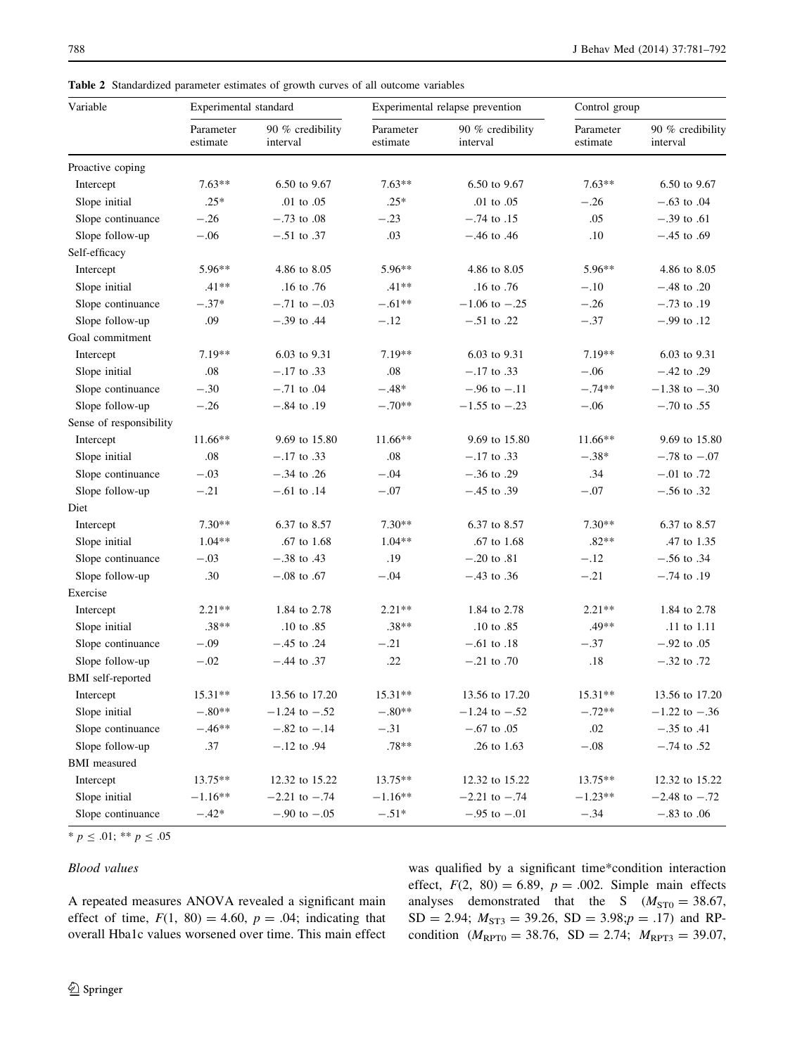| Variable                 | Experimental standard |                              |                       | Experimental relapse prevention | Control group         |                              |
|--------------------------|-----------------------|------------------------------|-----------------------|---------------------------------|-----------------------|------------------------------|
|                          | Parameter<br>estimate | 90 % credibility<br>interval | Parameter<br>estimate | 90 % credibility<br>interval    | Parameter<br>estimate | 90 % credibility<br>interval |
| Proactive coping         |                       |                              |                       |                                 |                       |                              |
| Intercept                | $7.63**$              | 6.50 to 9.67                 | $7.63**$              | 6.50 to 9.67                    | $7.63**$              | 6.50 to 9.67                 |
| Slope initial            | $.25*$                | .01 to .05                   | $.25*$                | .01 to .05                      | $-.26$                | $-.63$ to 0.4                |
| Slope continuance        | $-.26$                | $-.73$ to .08                | $-.23$                | $-.74$ to $.15$                 | .05                   | $-.39$ to .61                |
| Slope follow-up          | $-.06$                | $-.51$ to $.37$              | .03                   | $-.46$ to $.46$                 | .10                   | $-.45$ to .69                |
| Self-efficacy            |                       |                              |                       |                                 |                       |                              |
| Intercept                | 5.96**                | 4.86 to 8.05                 | 5.96**                | 4.86 to 8.05                    | 5.96**                | 4.86 to 8.05                 |
| Slope initial            | $.41**$               | .16 to .76                   | $.41**$               | .16 to .76                      | $-.10$                | $-.48$ to .20                |
| Slope continuance        | $-.37*$               | $-.71$ to $-.03$             | $-.61**$              | $-1.06$ to $-.25$               | $-.26$                | $-.73$ to .19                |
| Slope follow-up          | .09                   | $-.39$ to .44                | $-.12$                | $-.51$ to .22                   | $-.37$                | $-.99$ to $.12$              |
| Goal commitment          |                       |                              |                       |                                 |                       |                              |
| Intercept                | $7.19**$              | 6.03 to 9.31                 | $7.19**$              | 6.03 to 9.31                    | $7.19**$              | 6.03 to 9.31                 |
| Slope initial            | .08                   | $-.17$ to .33                | .08                   | $-.17$ to $.33$                 | $-.06$                | $-.42$ to .29                |
| Slope continuance        | $-.30$                | $-.71$ to $.04$              | $-.48*$               | $-.96$ to $-.11$                | $-.74**$              | $-1.38$ to $-.30$            |
| Slope follow-up          | $-.26$                | $-.84$ to $.19$              | $-.70**$              | $-1.55$ to $-.23$               | $-.06$                | $-.70$ to $.55$              |
| Sense of responsibility  |                       |                              |                       |                                 |                       |                              |
| Intercept                | $11.66**$             | 9.69 to 15.80                | $11.66**$             | 9.69 to 15.80                   | 11.66**               | 9.69 to 15.80                |
| Slope initial            | .08                   | $-.17$ to $.33$              | .08                   | $-.17$ to $.33$                 | $-.38*$               | $-.78$ to $-.07$             |
| Slope continuance        | $-.03$                | $-.34$ to .26                | $-.04$                | $-.36$ to .29                   | .34                   | $-.01$ to .72                |
| Slope follow-up          | $-.21$                | $-.61$ to $.14$              | $-.07$                | $-.45$ to $.39$                 | $-.07$                | $-.56$ to .32                |
| Diet                     |                       |                              |                       |                                 |                       |                              |
| Intercept                | $7.30**$              | 6.37 to 8.57                 | $7.30**$              | 6.37 to 8.57                    | $7.30**$              | 6.37 to 8.57                 |
| Slope initial            | $1.04**$              | .67 to 1.68                  | $1.04**$              | .67 to 1.68                     | $.82**$               | .47 to 1.35                  |
| Slope continuance        | $-.03$                | $-.38$ to $.43$              | .19                   | $-.20$ to $.81$                 | $-.12$                | $-.56$ to $.34$              |
| Slope follow-up          | .30                   | $-.08$ to $.67$              | $-.04$                | $-.43$ to $.36$                 | $-.21$                | $-.74$ to .19                |
| Exercise                 |                       |                              |                       |                                 |                       |                              |
| Intercept                | $2.21**$              | 1.84 to 2.78                 | $2.21**$              | 1.84 to 2.78                    | $2.21**$              | 1.84 to 2.78                 |
| Slope initial            | $.38**$               | .10 to .85                   | $.38**$               | .10 to .85                      | .49**                 | .11 to 1.11                  |
| Slope continuance        | $-.09$                | $-.45$ to $.24$              | $-.21$                | $-.61$ to $.18$                 | $-.37$                | $-.92$ to $.05$              |
| Slope follow-up          | $-.02$                | $-.44$ to $.37$              | .22                   | $-.21$ to .70                   | .18                   | $-.32$ to .72                |
| <b>BMI</b> self-reported |                       |                              |                       |                                 |                       |                              |
| Intercept                | 15.31**               | 13.56 to 17.20               | 15.31**               | 13.56 to 17.20                  | $15.31**$             | 13.56 to 17.20               |
| Slope initial            | $-.80**$              | $-1.24$ to $-.52$            | $-.80**$              | $-1.24$ to $-.52$               | $-.72**$              | $-1.22$ to $-.36$            |
| Slope continuance        | $-.46**$              | $-.82$ to $-.14$             | $-.31$                | $-.67$ to $.05$                 | .02                   | $-.35$ to .41                |
| Slope follow-up          | .37                   | $-.12$ to $.94$              | $.78**$               | .26 to 1.63                     | $-.08$                | $-.74$ to .52                |
| <b>BMI</b> measured      |                       |                              |                       |                                 |                       |                              |
| Intercept                | 13.75**               | 12.32 to 15.22               | 13.75**               | 12.32 to 15.22                  | 13.75**               | 12.32 to 15.22               |
| Slope initial            | $-1.16**$             | $-2.21$ to $-.74$            | $-1.16**$             | $-2.21$ to $-.74$               | $-1.23**$             | $-2.48$ to $-.72$            |
| Slope continuance        | $-.42*$               | $-.90 \text{ to } -.05$      | $-.51*$               | $-.95$ to $-.01$                | $-.34$                | $-.83$ to $.06$              |

<span id="page-7-0"></span>Table 2 Standardized parameter estimates of growth curves of all outcome variables

\*  $p \le .01$ ; \*\*  $p \le .05$ 

#### Blood values

A repeated measures ANOVA revealed a significant main effect of time,  $F(1, 80) = 4.60$ ,  $p = .04$ ; indicating that overall Hba1c values worsened over time. This main effect was qualified by a significant time\*condition interaction effect,  $F(2, 80) = 6.89$ ,  $p = .002$ . Simple main effects analyses demonstrated that the S  $(M_{ST0} = 38.67,$  $SD = 2.94$ ;  $M_{ST3} = 39.26$ ,  $SD = 3.98$ ;  $p = .17$ ) and RPcondition ( $M_{\text{RPT0}} = 38.76$ , SD = 2.74;  $M_{\text{RPT3}} = 39.07$ ,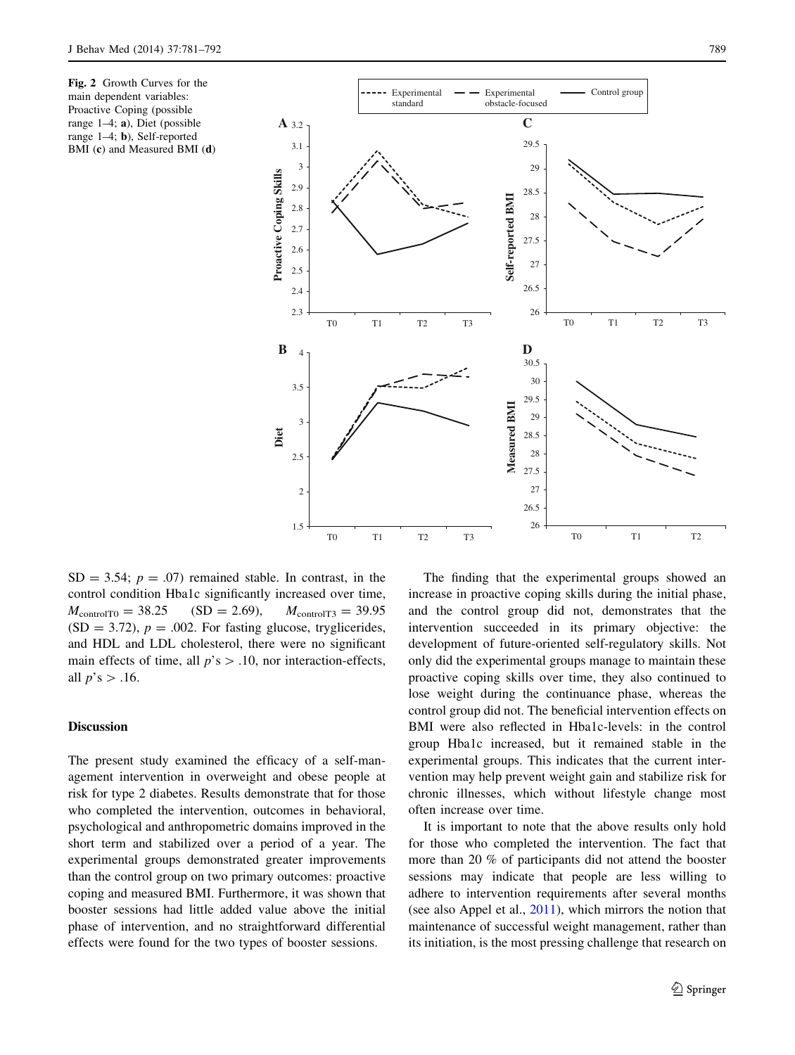<span id="page-8-0"></span>Fig. 2 Growth Curves for the main dependent variables: Proactive Coping (possible range 1–4; a), Diet (possible range 1–4; b), Self-reported BMI (c) and Measured BMI (d)



 $SD = 3.54$ ;  $p = .07$ ) remained stable. In contrast, in the control condition Hba1c significantly increased over time,  $M_{\text{controlTO}} = 38.25$  (SD = 2.69),  $M_{\text{controlT3}} = 39.95$  $(SD = 3.72)$ ,  $p = .002$ . For fasting glucose, tryglicerides, and HDL and LDL cholesterol, there were no significant main effects of time, all  $p$ 's  $> .10$ , nor interaction-effects, all  $p$ 's  $> .16$ .

## **Discussion**

The present study examined the efficacy of a self-management intervention in overweight and obese people at risk for type 2 diabetes. Results demonstrate that for those who completed the intervention, outcomes in behavioral, psychological and anthropometric domains improved in the short term and stabilized over a period of a year. The experimental groups demonstrated greater improvements than the control group on two primary outcomes: proactive coping and measured BMI. Furthermore, it was shown that booster sessions had little added value above the initial phase of intervention, and no straightforward differential effects were found for the two types of booster sessions.

The finding that the experimental groups showed an increase in proactive coping skills during the initial phase, and the control group did not, demonstrates that the intervention succeeded in its primary objective: the development of future-oriented self-regulatory skills. Not only did the experimental groups manage to maintain these proactive coping skills over time, they also continued to lose weight during the continuance phase, whereas the control group did not. The beneficial intervention effects on BMI were also reflected in Hba1c-levels: in the control group Hba1c increased, but it remained stable in the experimental groups. This indicates that the current intervention may help prevent weight gain and stabilize risk for chronic illnesses, which without lifestyle change most often increase over time.

It is important to note that the above results only hold for those who completed the intervention. The fact that more than 20 % of participants did not attend the booster sessions may indicate that people are less willing to adhere to intervention requirements after several months (see also Appel et al., [2011\)](#page-10-0), which mirrors the notion that maintenance of successful weight management, rather than its initiation, is the most pressing challenge that research on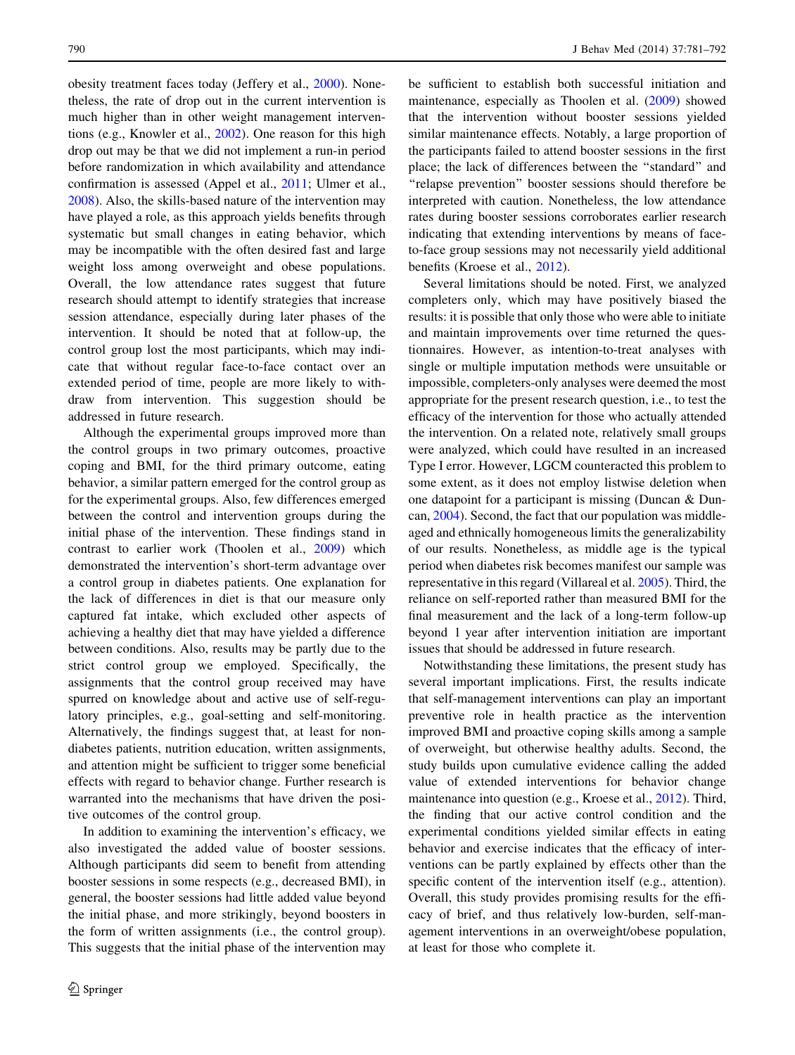obesity treatment faces today (Jeffery et al., [2000](#page-10-0)). Nonetheless, the rate of drop out in the current intervention is much higher than in other weight management interventions (e.g., Knowler et al., [2002\)](#page-10-0). One reason for this high drop out may be that we did not implement a run-in period before randomization in which availability and attendance confirmation is assessed (Appel et al., [2011;](#page-10-0) Ulmer et al., [2008\)](#page-11-0). Also, the skills-based nature of the intervention may have played a role, as this approach yields benefits through systematic but small changes in eating behavior, which may be incompatible with the often desired fast and large weight loss among overweight and obese populations. Overall, the low attendance rates suggest that future research should attempt to identify strategies that increase session attendance, especially during later phases of the intervention. It should be noted that at follow-up, the control group lost the most participants, which may indicate that without regular face-to-face contact over an extended period of time, people are more likely to withdraw from intervention. This suggestion should be addressed in future research.

Although the experimental groups improved more than the control groups in two primary outcomes, proactive coping and BMI, for the third primary outcome, eating behavior, a similar pattern emerged for the control group as for the experimental groups. Also, few differences emerged between the control and intervention groups during the initial phase of the intervention. These findings stand in contrast to earlier work (Thoolen et al., [2009](#page-10-0)) which demonstrated the intervention's short-term advantage over a control group in diabetes patients. One explanation for the lack of differences in diet is that our measure only captured fat intake, which excluded other aspects of achieving a healthy diet that may have yielded a difference between conditions. Also, results may be partly due to the strict control group we employed. Specifically, the assignments that the control group received may have spurred on knowledge about and active use of self-regulatory principles, e.g., goal-setting and self-monitoring. Alternatively, the findings suggest that, at least for nondiabetes patients, nutrition education, written assignments, and attention might be sufficient to trigger some beneficial effects with regard to behavior change. Further research is warranted into the mechanisms that have driven the positive outcomes of the control group.

In addition to examining the intervention's efficacy, we also investigated the added value of booster sessions. Although participants did seem to benefit from attending booster sessions in some respects (e.g., decreased BMI), in general, the booster sessions had little added value beyond the initial phase, and more strikingly, beyond boosters in the form of written assignments (i.e., the control group). This suggests that the initial phase of the intervention may be sufficient to establish both successful initiation and maintenance, especially as Thoolen et al. [\(2009](#page-10-0)) showed that the intervention without booster sessions yielded similar maintenance effects. Notably, a large proportion of the participants failed to attend booster sessions in the first place; the lack of differences between the ''standard'' and ''relapse prevention'' booster sessions should therefore be interpreted with caution. Nonetheless, the low attendance rates during booster sessions corroborates earlier research indicating that extending interventions by means of faceto-face group sessions may not necessarily yield additional benefits (Kroese et al., [2012\)](#page-10-0).

Several limitations should be noted. First, we analyzed completers only, which may have positively biased the results: it is possible that only those who were able to initiate and maintain improvements over time returned the questionnaires. However, as intention-to-treat analyses with single or multiple imputation methods were unsuitable or impossible, completers-only analyses were deemed the most appropriate for the present research question, i.e., to test the efficacy of the intervention for those who actually attended the intervention. On a related note, relatively small groups were analyzed, which could have resulted in an increased Type I error. However, LGCM counteracted this problem to some extent, as it does not employ listwise deletion when one datapoint for a participant is missing (Duncan & Duncan, [2004\)](#page-10-0). Second, the fact that our population was middleaged and ethnically homogeneous limits the generalizability of our results. Nonetheless, as middle age is the typical period when diabetes risk becomes manifest our sample was representative in this regard (Villareal et al. [2005\)](#page-11-0). Third, the reliance on self-reported rather than measured BMI for the final measurement and the lack of a long-term follow-up beyond 1 year after intervention initiation are important issues that should be addressed in future research.

Notwithstanding these limitations, the present study has several important implications. First, the results indicate that self-management interventions can play an important preventive role in health practice as the intervention improved BMI and proactive coping skills among a sample of overweight, but otherwise healthy adults. Second, the study builds upon cumulative evidence calling the added value of extended interventions for behavior change maintenance into question (e.g., Kroese et al., [2012](#page-10-0)). Third, the finding that our active control condition and the experimental conditions yielded similar effects in eating behavior and exercise indicates that the efficacy of interventions can be partly explained by effects other than the specific content of the intervention itself (e.g., attention). Overall, this study provides promising results for the efficacy of brief, and thus relatively low-burden, self-management interventions in an overweight/obese population, at least for those who complete it.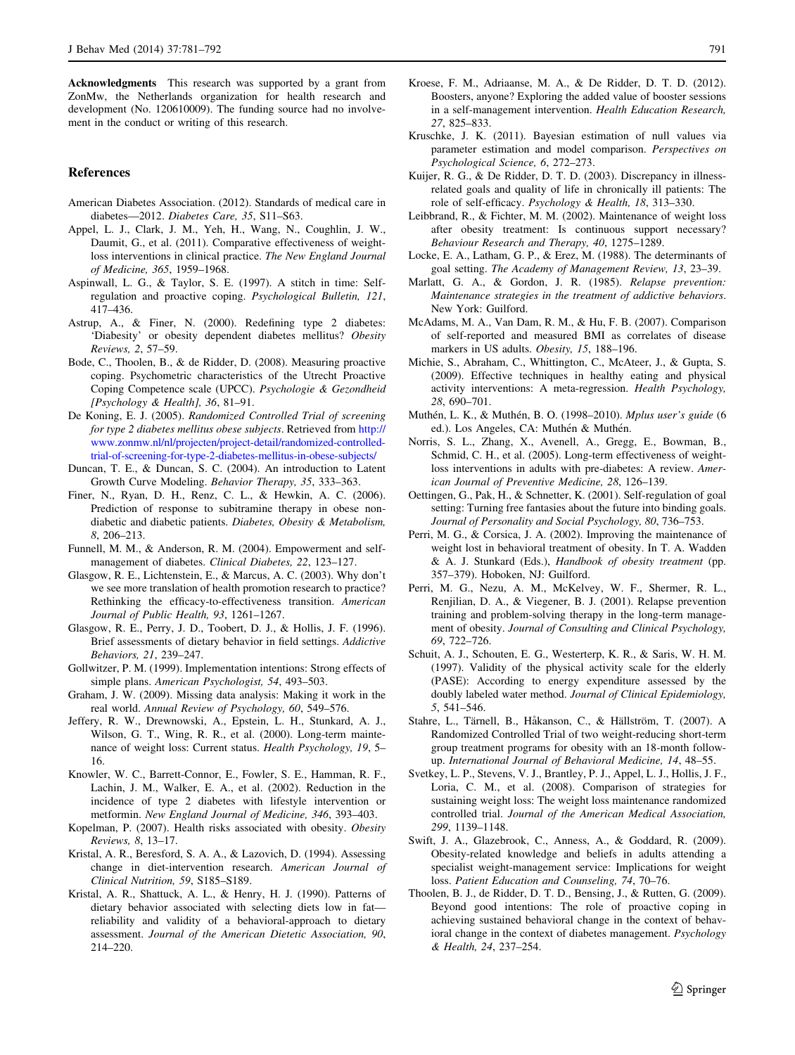<span id="page-10-0"></span>Acknowledgments This research was supported by a grant from ZonMw, the Netherlands organization for health research and development (No. 120610009). The funding source had no involvement in the conduct or writing of this research.

## References

- American Diabetes Association. (2012). Standards of medical care in diabetes—2012. Diabetes Care, 35, S11–S63.
- Appel, L. J., Clark, J. M., Yeh, H., Wang, N., Coughlin, J. W., Daumit, G., et al. (2011). Comparative effectiveness of weightloss interventions in clinical practice. The New England Journal of Medicine, 365, 1959–1968.
- Aspinwall, L. G., & Taylor, S. E. (1997). A stitch in time: Selfregulation and proactive coping. Psychological Bulletin, 121, 417–436.
- Astrup, A., & Finer, N. (2000). Redefining type 2 diabetes: 'Diabesity' or obesity dependent diabetes mellitus? Obesity Reviews, 2, 57–59.
- Bode, C., Thoolen, B., & de Ridder, D. (2008). Measuring proactive coping. Psychometric characteristics of the Utrecht Proactive Coping Competence scale (UPCC). Psychologie & Gezondheid [Psychology & Health], 36, 81–91.
- De Koning, E. J. (2005). Randomized Controlled Trial of screening for type 2 diabetes mellitus obese subjects. Retrieved from [http://](http://www.zonmw.nl/nl/projecten/project-detail/randomized-controlled-trial-of-screening-for-type-2-diabetes-mellitus-in-obese-subjects/) [www.zonmw.nl/nl/projecten/project-detail/randomized-controlled](http://www.zonmw.nl/nl/projecten/project-detail/randomized-controlled-trial-of-screening-for-type-2-diabetes-mellitus-in-obese-subjects/)[trial-of-screening-for-type-2-diabetes-mellitus-in-obese-subjects/](http://www.zonmw.nl/nl/projecten/project-detail/randomized-controlled-trial-of-screening-for-type-2-diabetes-mellitus-in-obese-subjects/)
- Duncan, T. E., & Duncan, S. C. (2004). An introduction to Latent Growth Curve Modeling. Behavior Therapy, 35, 333–363.
- Finer, N., Ryan, D. H., Renz, C. L., & Hewkin, A. C. (2006). Prediction of response to subitramine therapy in obese nondiabetic and diabetic patients. Diabetes, Obesity & Metabolism, 8, 206–213.
- Funnell, M. M., & Anderson, R. M. (2004). Empowerment and selfmanagement of diabetes. Clinical Diabetes, 22, 123–127.
- Glasgow, R. E., Lichtenstein, E., & Marcus, A. C. (2003). Why don't we see more translation of health promotion research to practice? Rethinking the efficacy-to-effectiveness transition. American Journal of Public Health, 93, 1261–1267.
- Glasgow, R. E., Perry, J. D., Toobert, D. J., & Hollis, J. F. (1996). Brief assessments of dietary behavior in field settings. Addictive Behaviors, 21, 239–247.
- Gollwitzer, P. M. (1999). Implementation intentions: Strong effects of simple plans. American Psychologist, 54, 493–503.
- Graham, J. W. (2009). Missing data analysis: Making it work in the real world. Annual Review of Psychology, 60, 549–576.
- Jeffery, R. W., Drewnowski, A., Epstein, L. H., Stunkard, A. J., Wilson, G. T., Wing, R. R., et al. (2000). Long-term maintenance of weight loss: Current status. Health Psychology, 19, 5– 16.
- Knowler, W. C., Barrett-Connor, E., Fowler, S. E., Hamman, R. F., Lachin, J. M., Walker, E. A., et al. (2002). Reduction in the incidence of type 2 diabetes with lifestyle intervention or metformin. New England Journal of Medicine, 346, 393–403.
- Kopelman, P. (2007). Health risks associated with obesity. Obesity Reviews, 8, 13–17.
- Kristal, A. R., Beresford, S. A. A., & Lazovich, D. (1994). Assessing change in diet-intervention research. American Journal of Clinical Nutrition, 59, S185–S189.
- Kristal, A. R., Shattuck, A. L., & Henry, H. J. (1990). Patterns of dietary behavior associated with selecting diets low in fat reliability and validity of a behavioral-approach to dietary assessment. Journal of the American Dietetic Association, 90, 214–220.
- Kroese, F. M., Adriaanse, M. A., & De Ridder, D. T. D. (2012). Boosters, anyone? Exploring the added value of booster sessions in a self-management intervention. Health Education Research, 27, 825–833.
- Kruschke, J. K. (2011). Bayesian estimation of null values via parameter estimation and model comparison. Perspectives on Psychological Science, 6, 272–273.
- Kuijer, R. G., & De Ridder, D. T. D. (2003). Discrepancy in illnessrelated goals and quality of life in chronically ill patients: The role of self-efficacy. Psychology & Health, 18, 313–330.
- Leibbrand, R., & Fichter, M. M. (2002). Maintenance of weight loss after obesity treatment: Is continuous support necessary? Behaviour Research and Therapy, 40, 1275–1289.
- Locke, E. A., Latham, G. P., & Erez, M. (1988). The determinants of goal setting. The Academy of Management Review, 13, 23–39.
- Marlatt, G. A., & Gordon, J. R. (1985). Relapse prevention: Maintenance strategies in the treatment of addictive behaviors. New York: Guilford.
- McAdams, M. A., Van Dam, R. M., & Hu, F. B. (2007). Comparison of self-reported and measured BMI as correlates of disease markers in US adults. Obesity, 15, 188–196.
- Michie, S., Abraham, C., Whittington, C., McAteer, J., & Gupta, S. (2009). Effective techniques in healthy eating and physical activity interventions: A meta-regression. Health Psychology, 28, 690–701.
- Muthén, L. K., & Muthén, B. O. (1998–2010). Mplus user's guide (6 ed.). Los Angeles, CA: Muthén & Muthén.
- Norris, S. L., Zhang, X., Avenell, A., Gregg, E., Bowman, B., Schmid, C. H., et al. (2005). Long-term effectiveness of weightloss interventions in adults with pre-diabetes: A review. American Journal of Preventive Medicine, 28, 126–139.
- Oettingen, G., Pak, H., & Schnetter, K. (2001). Self-regulation of goal setting: Turning free fantasies about the future into binding goals. Journal of Personality and Social Psychology, 80, 736–753.
- Perri, M. G., & Corsica, J. A. (2002). Improving the maintenance of weight lost in behavioral treatment of obesity. In T. A. Wadden & A. J. Stunkard (Eds.), Handbook of obesity treatment (pp. 357–379). Hoboken, NJ: Guilford.
- Perri, M. G., Nezu, A. M., McKelvey, W. F., Shermer, R. L., Renjilian, D. A., & Viegener, B. J. (2001). Relapse prevention training and problem-solving therapy in the long-term management of obesity. Journal of Consulting and Clinical Psychology, 69, 722–726.
- Schuit, A. J., Schouten, E. G., Westerterp, K. R., & Saris, W. H. M. (1997). Validity of the physical activity scale for the elderly (PASE): According to energy expenditure assessed by the doubly labeled water method. Journal of Clinical Epidemiology, 5, 541–546.
- Stahre, L., Tärnell, B., Håkanson, C., & Hällström, T. (2007). A Randomized Controlled Trial of two weight-reducing short-term group treatment programs for obesity with an 18-month followup. International Journal of Behavioral Medicine, 14, 48–55.
- Svetkey, L. P., Stevens, V. J., Brantley, P. J., Appel, L. J., Hollis, J. F., Loria, C. M., et al. (2008). Comparison of strategies for sustaining weight loss: The weight loss maintenance randomized controlled trial. Journal of the American Medical Association, 299, 1139–1148.
- Swift, J. A., Glazebrook, C., Anness, A., & Goddard, R. (2009). Obesity-related knowledge and beliefs in adults attending a specialist weight-management service: Implications for weight loss. Patient Education and Counseling, 74, 70–76.
- Thoolen, B. J., de Ridder, D. T. D., Bensing, J., & Rutten, G. (2009). Beyond good intentions: The role of proactive coping in achieving sustained behavioral change in the context of behavioral change in the context of diabetes management. Psychology & Health, 24, 237–254.